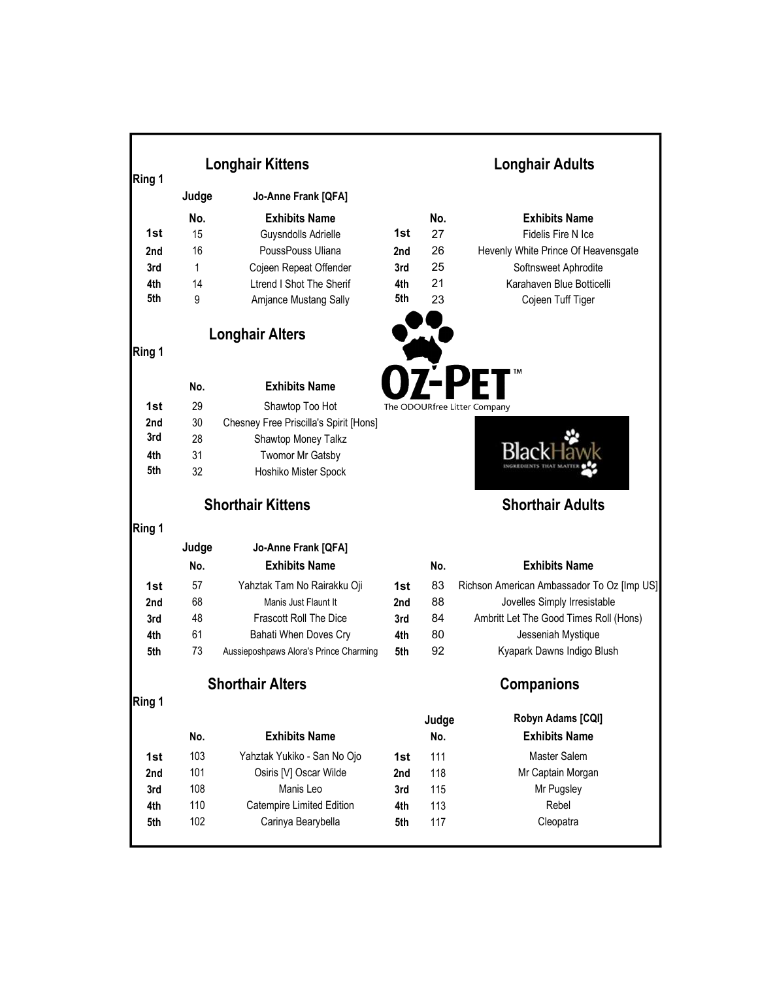| Ring 1 | <b>Longhair Kittens</b> | <b>Longhair Adults</b>                 |     |                         |                                            |  |
|--------|-------------------------|----------------------------------------|-----|-------------------------|--------------------------------------------|--|
|        | Judge                   | Jo-Anne Frank [QFA]                    |     |                         |                                            |  |
|        | No.                     | <b>Exhibits Name</b>                   |     | No.                     | <b>Exhibits Name</b>                       |  |
| 1st    | 15                      | Guysndolls Adrielle                    | 1st | 27                      | Fidelis Fire N Ice                         |  |
| 2nd    | 16                      | PoussPouss Uliana                      | 2nd | 26                      | Hevenly White Prince Of Heavensgate        |  |
| 3rd    | 1                       | Cojeen Repeat Offender                 | 3rd | 25                      | Softnsweet Aphrodite                       |  |
| 4th    | 14                      | <b>Ltrend I Shot The Sherif</b>        | 4th | 21                      | Karahaven Blue Botticelli                  |  |
| 5th    | 9                       | Amjance Mustang Sally                  | 5th | 23                      | Cojeen Tuff Tiger                          |  |
|        |                         | <b>Longhair Alters</b>                 |     |                         |                                            |  |
| Ring 1 |                         |                                        |     |                         |                                            |  |
|        | No.                     | <b>Exhibits Name</b>                   |     |                         |                                            |  |
| 1st    | 29                      | Shawtop Too Hot                        |     |                         | The ODOURfree Litter Company               |  |
| 2nd    | 30                      | Chesney Free Priscilla's Spirit [Hons] |     |                         |                                            |  |
| 3rd    | 28                      | Shawtop Money Talkz                    |     |                         |                                            |  |
| 4th    | 31                      | Twomor Mr Gatsby                       |     |                         |                                            |  |
| 5th    | 32                      | Hoshiko Mister Spock                   |     |                         |                                            |  |
|        |                         | <b>Shorthair Kittens</b>               |     | <b>Shorthair Adults</b> |                                            |  |
| Ring 1 |                         |                                        |     |                         |                                            |  |
|        | Judge                   | Jo-Anne Frank [QFA]                    |     |                         |                                            |  |
|        | No.                     | <b>Exhibits Name</b>                   |     | No.                     | <b>Exhibits Name</b>                       |  |
| 1st    | 57                      | Yahztak Tam No Rairakku Oji            | 1st | 83                      | Richson American Ambassador To Oz [Imp US] |  |
| 2nd    | 68                      | Manis Just Flaunt It                   | 2nd | 88                      | Jovelles Simply Irresistable               |  |
| 3rd    | 48                      | <b>Frascott Roll The Dice</b>          | 3rd | 84                      | Ambritt Let The Good Times Roll (Hons)     |  |
| 4th    | 61                      | Bahati When Doves Cry                  | 4th | 80                      | Jesseniah Mystique                         |  |
| 5th    | 73                      | Aussieposhpaws Alora's Prince Charming | 5th | 92                      | Kyapark Dawns Indigo Blush                 |  |
|        |                         | <b>Shorthair Alters</b>                |     | <b>Companions</b>       |                                            |  |
| Ring 1 |                         |                                        |     |                         |                                            |  |
|        |                         |                                        |     | Judge                   | Robyn Adams [CQI]                          |  |
|        | No.                     | <b>Exhibits Name</b>                   |     | No.                     | <b>Exhibits Name</b>                       |  |
| 1st    | 103                     | Yahztak Yukiko - San No Ojo            | 1st | 111                     | Master Salem                               |  |
| 2nd    | 101                     | Osiris [V] Oscar Wilde                 | 2nd | 118                     | Mr Captain Morgan                          |  |
| 3rd    | 108                     | Manis Leo                              | 3rd | 115                     | Mr Pugsley                                 |  |
| 4th    | 110                     | Catempire Limited Edition              | 4th | 113                     | Rebel                                      |  |
| 5th    | 102                     | Carinya Bearybella                     | 5th | 117                     | Cleopatra                                  |  |
|        |                         |                                        |     |                         |                                            |  |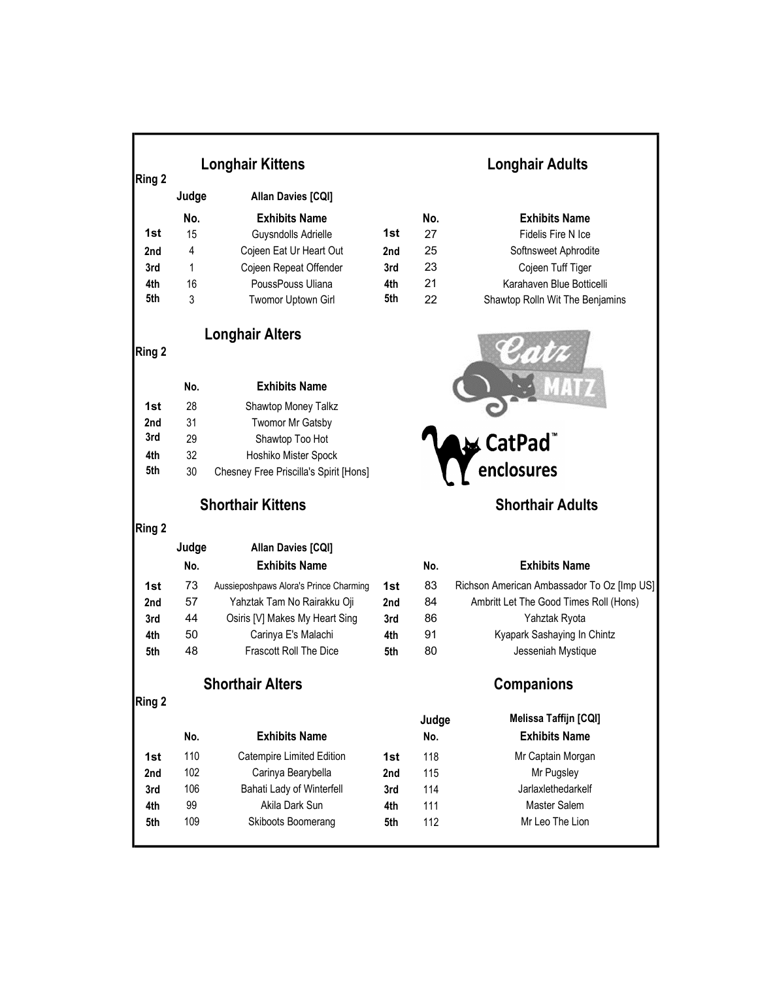|            |       | <b>Longhair Kittens</b>                         |            |                         | <b>Longhair Adults</b>                     |  |  |
|------------|-------|-------------------------------------------------|------------|-------------------------|--------------------------------------------|--|--|
| Ring 2     |       |                                                 |            |                         |                                            |  |  |
|            | Judge | Allan Davies [CQI]                              |            |                         |                                            |  |  |
|            | No.   | <b>Exhibits Name</b>                            |            | No.                     | <b>Exhibits Name</b>                       |  |  |
| 1st        | 15    | Guysndolls Adrielle                             | 1st        | 27                      | Fidelis Fire N Ice                         |  |  |
| 2nd        | 4     | Cojeen Eat Ur Heart Out                         | 2nd        | 25                      | Softnsweet Aphrodite                       |  |  |
| 3rd        | 1     | Cojeen Repeat Offender                          | 3rd        | 23                      | Cojeen Tuff Tiger                          |  |  |
| 4th        | 16    | PoussPouss Uliana                               | 4th        | 21                      | Karahaven Blue Botticelli                  |  |  |
| 5th        | 3     | <b>Twomor Uptown Girl</b>                       | 5th        | 22                      | Shawtop Rolln Wit The Benjamins            |  |  |
| Ring 2     |       | <b>Longhair Alters</b>                          |            |                         |                                            |  |  |
|            | No.   | <b>Exhibits Name</b>                            |            |                         |                                            |  |  |
| 1st        | 28    | Shawtop Money Talkz                             |            |                         |                                            |  |  |
| 2nd        | 31    | Twomor Mr Gatsby                                |            |                         |                                            |  |  |
| 3rd        | 29    | Shawtop Too Hot                                 |            |                         | ∧CatPad                                    |  |  |
| 4th        | 32    | Hoshiko Mister Spock                            |            |                         |                                            |  |  |
| 5th        | 30    | Chesney Free Priscilla's Spirit [Hons]          |            |                         | enclosures                                 |  |  |
|            |       | <b>Shorthair Kittens</b>                        |            | <b>Shorthair Adults</b> |                                            |  |  |
| Ring 2     |       |                                                 |            |                         |                                            |  |  |
|            | Judge | <b>Allan Davies [CQI]</b>                       |            |                         |                                            |  |  |
|            | No.   | <b>Exhibits Name</b>                            |            | No.                     | <b>Exhibits Name</b>                       |  |  |
| 1st        | 73    | Aussieposhpaws Alora's Prince Charming          | 1st        | 83                      | Richson American Ambassador To Oz [Imp US] |  |  |
| 2nd        | 57    | Yahztak Tam No Rairakku Oji                     | 2nd        | 84                      | Ambritt Let The Good Times Roll (Hons)     |  |  |
| 3rd        | 44    | Osiris [V] Makes My Heart Sing                  | 3rd        | 86                      | Yahztak Ryota                              |  |  |
| 4th        | 50    | Carinya E's Malachi                             | 4th        | 91                      | Kyapark Sashaying In Chintz                |  |  |
| 5th        | 48    | Frascott Roll The Dice                          | 5th        | 80                      | Jesseniah Mystique                         |  |  |
|            |       | <b>Shorthair Alters</b>                         |            |                         | <b>Companions</b>                          |  |  |
| Ring 2     |       |                                                 |            |                         | Melissa Taffijn [CQI]                      |  |  |
|            | No.   | <b>Exhibits Name</b>                            |            | Judge<br>No.            | <b>Exhibits Name</b>                       |  |  |
|            | 110   |                                                 |            |                         |                                            |  |  |
| 1st        | 102   | Catempire Limited Edition                       | 1st        | 118<br>115              | Mr Captain Morgan                          |  |  |
| 2nd        | 106   | Carinya Bearybella<br>Bahati Lady of Winterfell | 2nd        | 114                     | Mr Pugsley<br>Jarlaxlethedarkelf           |  |  |
| 3rd        | 99    | Akila Dark Sun                                  | 3rd        | 111                     | Master Salem                               |  |  |
| 4th<br>5th | 109   | Skiboots Boomerang                              | 4th<br>5th | 112                     | Mr Leo The Lion                            |  |  |
|            |       |                                                 |            |                         |                                            |  |  |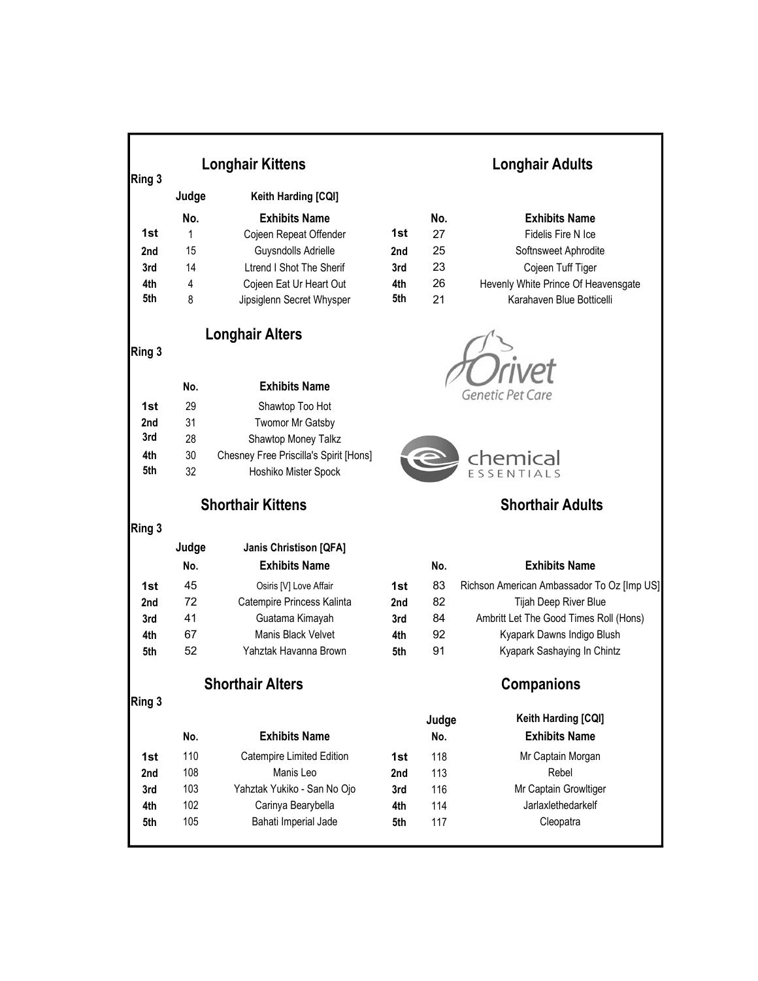| Ring 3 | <b>Longhair Kittens</b> |                                        |     | <b>Longhair Adults</b> |                                            |  |
|--------|-------------------------|----------------------------------------|-----|------------------------|--------------------------------------------|--|
|        | Judge                   | Keith Harding [CQI]                    |     |                        |                                            |  |
|        | No.                     | <b>Exhibits Name</b>                   |     | No.                    | <b>Exhibits Name</b>                       |  |
| 1st    | 1                       | Cojeen Repeat Offender                 | 1st | 27                     | Fidelis Fire N Ice                         |  |
| 2nd    | 15                      | Guysndolls Adrielle                    | 2nd | 25                     | Softnsweet Aphrodite                       |  |
| 3rd    | 14                      | <b>Ltrend I Shot The Sherif</b>        | 3rd | 23                     | Cojeen Tuff Tiger                          |  |
| 4th    | 4                       | Cojeen Eat Ur Heart Out                | 4th | 26                     | Hevenly White Prince Of Heavensgate        |  |
| 5th    | 8                       | Jipsiglenn Secret Whysper              | 5th | 21                     | Karahaven Blue Botticelli                  |  |
| Ring 3 |                         | <b>Longhair Alters</b>                 |     |                        |                                            |  |
|        | No.                     | <b>Exhibits Name</b>                   |     |                        |                                            |  |
| 1st    | 29                      |                                        |     |                        | <b>Genetic Pet Care</b>                    |  |
| 2nd    | 31                      | Shawtop Too Hot<br>Twomor Mr Gatsby    |     |                        |                                            |  |
| 3rd    | 28                      | Shawtop Money Talkz                    |     |                        |                                            |  |
| 4th    | 30                      | Chesney Free Priscilla's Spirit [Hons] |     |                        |                                            |  |
| 5th    | 32                      | Hoshiko Mister Spock                   |     |                        | chemical                                   |  |
|        |                         | <b>Shorthair Kittens</b>               |     |                        | <b>Shorthair Adults</b>                    |  |
| Ring 3 |                         |                                        |     |                        |                                            |  |
|        | Judge                   | <b>Janis Christison [QFA]</b>          |     |                        |                                            |  |
|        | No.                     | <b>Exhibits Name</b>                   |     | No.                    | <b>Exhibits Name</b>                       |  |
| 1st    | 45                      | Osiris [V] Love Affair                 | 1st | 83                     | Richson American Ambassador To Oz [Imp US] |  |
| 2nd    | 72                      | Catempire Princess Kalinta             | 2nd | 82                     | Tijah Deep River Blue                      |  |
| 3rd    | 41                      | Guatama Kimayah                        | 3rd | 84                     | Ambritt Let The Good Times Roll (Hons)     |  |
| 4th    | 67                      | Manis Black Velvet                     | 4th | 92                     | Kyapark Dawns Indigo Blush                 |  |
| 5th    | 52                      | Yahztak Havanna Brown                  | 5th | 91                     | Kyapark Sashaying In Chintz                |  |
|        |                         | <b>Shorthair Alters</b>                |     |                        | <b>Companions</b>                          |  |
| Ring 3 |                         |                                        |     |                        |                                            |  |
|        |                         |                                        |     | Judge                  | Keith Harding [CQI]                        |  |
|        | No.                     | <b>Exhibits Name</b>                   |     | No.                    | <b>Exhibits Name</b>                       |  |
| 1st    | 110                     | Catempire Limited Edition              | 1st | 118                    | Mr Captain Morgan                          |  |
| 2nd    | 108                     | Manis Leo                              | 2nd | 113                    | Rebel                                      |  |
| 3rd    | 103                     | Yahztak Yukiko - San No Ojo            | 3rd | 116                    | Mr Captain Growltiger                      |  |
| 4th    | 102                     | Carinya Bearybella                     | 4th | 114                    | Jarlaxlethedarkelf                         |  |
| 5th    | 105                     | Bahati Imperial Jade                   | 5th | 117                    | Cleopatra                                  |  |